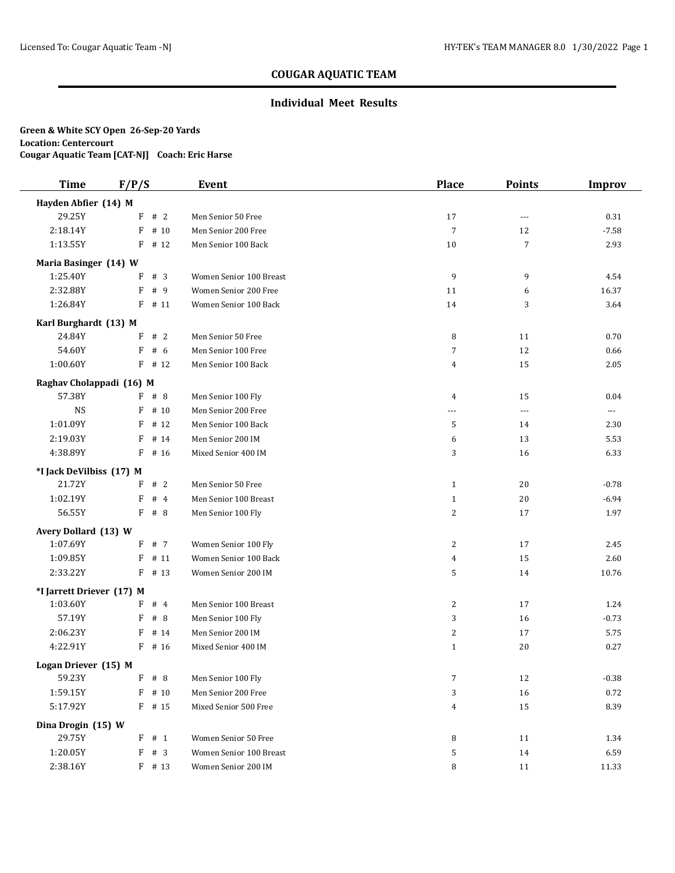### **Individual Meet Results**

# **Green & White SCY Open 26-Sep-20 Yards Location: Centercourt**

**Cougar Aquatic Team [CAT-NJ] Coach: Eric Harse**

| <b>Time</b>                        | F/P/S                 | <b>Event</b>            | <b>Place</b>     | <b>Points</b>        | <b>Improv</b>            |
|------------------------------------|-----------------------|-------------------------|------------------|----------------------|--------------------------|
| Hayden Abfier (14) M               |                       |                         |                  |                      |                          |
| 29.25Y                             | $F$ # 2               | Men Senior 50 Free      | 17               | $---$                | 0.31                     |
| 2:18.14Y                           | F<br># 10             | Men Senior 200 Free     | $\overline{7}$   | 12                   | $-7.58$                  |
| 1:13.55Y                           | $F$ # 12              | Men Senior 100 Back     | 10               | $\overline{7}$       | 2.93                     |
| Maria Basinger (14) W              |                       |                         |                  |                      |                          |
| 1:25.40Y                           | #3<br>F               | Women Senior 100 Breast | 9                | 9                    | 4.54                     |
| 2:32.88Y                           | # 9<br>F              | Women Senior 200 Free   | 11               | 6                    | 16.37                    |
| 1:26.84Y                           | F<br># 11             | Women Senior 100 Back   | 14               | 3                    | 3.64                     |
| Karl Burghardt (13) M              |                       |                         |                  |                      |                          |
| 24.84Y                             | F<br>#2               | Men Senior 50 Free      | 8                | 11                   | 0.70                     |
| 54.60Y                             | F<br># 6              | Men Senior 100 Free     | $\overline{7}$   | 12                   | 0.66                     |
| 1:00.60Y                           | $F$ # 12              | Men Senior 100 Back     | 4                | 15                   | 2.05                     |
| Raghav Cholappadi (16) M           |                       |                         |                  |                      |                          |
| 57.38Y                             | F # 8                 | Men Senior 100 Fly      | 4                | 15                   | 0.04                     |
| <b>NS</b>                          | # 10<br>F             | Men Senior 200 Free     | ---              | $\sim$ $\sim$ $\sim$ | $\overline{\phantom{a}}$ |
| 1:01.09Y                           | # 12<br>F             | Men Senior 100 Back     | 5                | 14                   | 2.30                     |
| 2:19.03Y                           | F<br># 14             | Men Senior 200 IM       | 6                | 13                   | 5.53                     |
| 4:38.89Y                           | F<br># 16             | Mixed Senior 400 IM     | 3                | 16                   | 6.33                     |
|                                    |                       |                         |                  |                      |                          |
| *I Jack DeVilbiss (17) M<br>21.72Y | F # 2                 | Men Senior 50 Free      | $\mathbf{1}$     | 20                   | $-0.78$                  |
| 1:02.19Y                           | F<br>#4               | Men Senior 100 Breast   | $\mathbf{1}$     | 20                   | $-6.94$                  |
| 56.55Y                             | F<br># 8              | Men Senior 100 Fly      | 2                | 17                   | 1.97                     |
|                                    |                       |                         |                  |                      |                          |
| Avery Dollard (13) W               |                       |                         |                  |                      |                          |
| 1:07.69Y                           | F # 7                 | Women Senior 100 Fly    | $\overline{c}$   | 17                   | 2.45                     |
| 1:09.85Y                           | F<br># 11<br>$F$ # 13 | Women Senior 100 Back   | 4                | 15                   | 2.60                     |
| 2:33.22Y                           |                       | Women Senior 200 IM     | 5                | 14                   | 10.76                    |
| *I Jarrett Driever (17) M          |                       |                         |                  |                      |                          |
| 1:03.60Y                           | F # 4                 | Men Senior 100 Breast   | $\overline{c}$   | 17                   | 1.24                     |
| 57.19Y                             | F<br>#8               | Men Senior 100 Fly      | 3                | 16                   | $-0.73$                  |
| 2:06.23Y                           | F<br># 14             | Men Senior 200 IM       | $\overline{c}$   | 17                   | 5.75                     |
| 4:22.91Y                           | F<br># 16             | Mixed Senior 400 IM     | $\mathbf{1}$     | 20                   | 0.27                     |
| Logan Driever (15) M               |                       |                         |                  |                      |                          |
| 59.23Y                             | $F$ # 8               | Men Senior 100 Fly      | $\boldsymbol{7}$ | 12                   | $-0.38$                  |
| 1:59.15Y                           | # 10<br>F             | Men Senior 200 Free     | 3                | 16                   | 0.72                     |
| 5:17.92Y                           | $F$ # 15              | Mixed Senior 500 Free   | 4                | 15                   | 8.39                     |
| Dina Drogin (15) W                 |                       |                         |                  |                      |                          |
| 29.75Y                             | $F$ # 1               | Women Senior 50 Free    | 8                | 11                   | 1.34                     |
| 1:20.05Y                           | $F$ # 3               | Women Senior 100 Breast | 5                | 14                   | 6.59                     |
| 2:38.16Y                           | $F$ # 13              | Women Senior 200 IM     | 8                | 11                   | 11.33                    |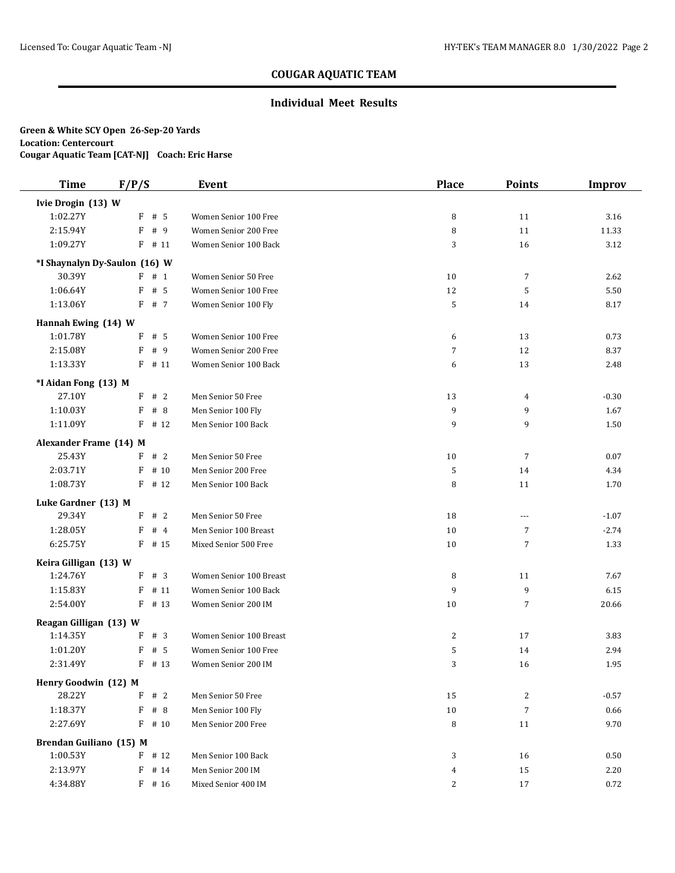### **Individual Meet Results**

| <b>Time</b>             | F/P/S                         | <b>Event</b>            | <b>Place</b> | <b>Points</b>  | <b>Improv</b> |
|-------------------------|-------------------------------|-------------------------|--------------|----------------|---------------|
| Ivie Drogin (13) W      |                               |                         |              |                |               |
| 1:02.27Y                | F<br># 5                      | Women Senior 100 Free   | 8            | 11             | 3.16          |
| 2:15.94Y                | F<br># 9                      | Women Senior 200 Free   | 8            | 11             | 11.33         |
| 1:09.27Y                | $F$ # 11                      | Women Senior 100 Back   | 3            | 16             | 3.12          |
|                         | *I Shaynalyn Dy-Saulon (16) W |                         |              |                |               |
| 30.39Y                  | F # 1                         | Women Senior 50 Free    | 10           | 7              | 2.62          |
| 1:06.64Y                | # 5<br>F                      | Women Senior 100 Free   | 12           | 5              | 5.50          |
| 1:13.06Y                | F # 7                         | Women Senior 100 Fly    | 5            | 14             | 8.17          |
| Hannah Ewing (14) W     |                               |                         |              |                |               |
| 1:01.78Y                | # 5<br>F                      | Women Senior 100 Free   | 6            | 13             | 0.73          |
| 2:15.08Y                | F<br># 9                      | Women Senior 200 Free   | 7            | 12             | 8.37          |
| 1:13.33Y                | $F$ # 11                      | Women Senior 100 Back   | 6            | 13             | 2.48          |
| *I Aidan Fong (13) M    |                               |                         |              |                |               |
| 27.10Y                  | F # 2                         | Men Senior 50 Free      | 13           | 4              | $-0.30$       |
| 1:10.03Y                | F<br># 8                      | Men Senior 100 Fly      | 9            | 9              | 1.67          |
| 1:11.09Y                | F<br># 12                     | Men Senior 100 Back     | 9            | 9              | 1.50          |
| Alexander Frame (14) M  |                               |                         |              |                |               |
| 25.43Y                  | $F$ # 2                       | Men Senior 50 Free      | 10           | 7              | 0.07          |
| 2:03.71Y                | F<br># 10                     | Men Senior 200 Free     | 5            | 14             | 4.34          |
| 1:08.73Y                | F<br># 12                     | Men Senior 100 Back     | 8            | 11             | 1.70          |
| Luke Gardner (13) M     |                               |                         |              |                |               |
| 29.34Y                  | F # 2                         | Men Senior 50 Free      | 18           | $---$          | $-1.07$       |
| 1:28.05Y                | F<br>#4                       | Men Senior 100 Breast   | 10           | 7              | $-2.74$       |
| 6:25.75Y                | $F$ # 15                      | Mixed Senior 500 Free   | 10           | 7              | 1.33          |
| Keira Gilligan (13) W   |                               |                         |              |                |               |
| 1:24.76Y                | F # 3                         | Women Senior 100 Breast | 8            | 11             | 7.67          |
| 1:15.83Y                | F<br># 11                     | Women Senior 100 Back   | 9            | 9              | 6.15          |
| 2:54.00Y                | # 13<br>F                     | Women Senior 200 IM     | 10           | 7              | 20.66         |
| Reagan Gilligan (13) W  |                               |                         |              |                |               |
| 1:14.35Y                | #3<br>F                       | Women Senior 100 Breast | 2            | 17             | 3.83          |
| 1:01.20Y                | F<br># 5                      | Women Senior 100 Free   | 5            | 14             | 2.94          |
| 2:31.49Y                | $F$ # 13                      | Women Senior 200 IM     | 3            | 16             | 1.95          |
| Henry Goodwin (12) M    |                               |                         |              |                |               |
| 28.22Y                  | #2<br>F                       | Men Senior 50 Free      | 15           | 2              | $-0.57$       |
| 1:18.37Y                | F<br># 8                      | Men Senior 100 Fly      | 10           | $\overline{7}$ | 0.66          |
| 2:27.69Y                | $F$ # 10                      | Men Senior 200 Free     | 8            | 11             | 9.70          |
| Brendan Guiliano (15) M |                               |                         |              |                |               |
| 1:00.53Y                | $F$ # 12                      | Men Senior 100 Back     | 3            | 16             | 0.50          |
| 2:13.97Y                | F<br># 14                     | Men Senior 200 IM       | 4            | 15             | 2.20          |
| 4:34.88Y                | F # 16                        | Mixed Senior 400 IM     | 2            | 17             | 0.72          |
|                         |                               |                         |              |                |               |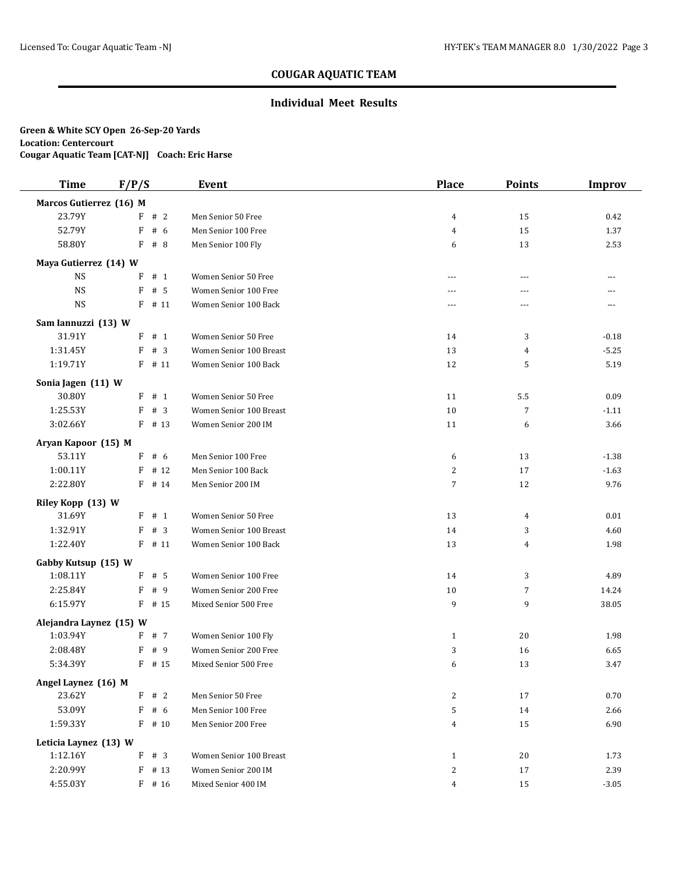### **Individual Meet Results**

| <b>Time</b>                       | F/P/S      | Event                   | <b>Place</b>   | <b>Points</b>  | <b>Improv</b> |
|-----------------------------------|------------|-------------------------|----------------|----------------|---------------|
| Marcos Gutierrez (16) M           |            |                         |                |                |               |
| 23.79Y                            | F # 2      | Men Senior 50 Free      | $\overline{4}$ | 15             | 0.42          |
| 52.79Y                            | F<br># 6   | Men Senior 100 Free     | 4              | 15             | 1.37          |
| 58.80Y                            | F<br>#8    | Men Senior 100 Fly      | 6              | 13             | 2.53          |
| Maya Gutierrez (14) W             |            |                         |                |                |               |
| <b>NS</b>                         | $F$ # 1    | Women Senior 50 Free    | $-$            | $- - -$        | $---$         |
| <b>NS</b>                         | F<br># 5   | Women Senior 100 Free   | ---            | ---            | ---           |
| <b>NS</b>                         | $F$ # 11   | Women Senior 100 Back   | ---            | ---            | ---           |
| Sam Iannuzzi (13) W               |            |                         |                |                |               |
| 31.91Y                            | $F$ # 1    | Women Senior 50 Free    | 14             | 3              | $-0.18$       |
| 1:31.45Y                          | F<br>#3    | Women Senior 100 Breast | 13             | 4              | $-5.25$       |
| 1:19.71Y                          | $F$ # 11   | Women Senior 100 Back   | 12             | 5              | 5.19          |
| Sonia Jagen (11) W                |            |                         |                |                |               |
| 30.80Y                            | $F$ # 1    | Women Senior 50 Free    | 11             | 5.5            | 0.09          |
| 1:25.53Y                          | F<br>#3    | Women Senior 100 Breast | 10             | 7              | $-1.11$       |
| 3:02.66Y                          | $F$ # 13   | Women Senior 200 IM     | 11             | 6              | 3.66          |
| Aryan Kapoor (15) M               |            |                         |                |                |               |
| 53.11Y                            | F # 6      | Men Senior 100 Free     | 6              | 13             | $-1.38$       |
| 1:00.11Y                          | # 12<br>F  | Men Senior 100 Back     | 2              | 17             | $-1.63$       |
| 2:22.80Y                          | F<br># 14  | Men Senior 200 IM       | $\overline{7}$ | 12             | 9.76          |
| Riley Kopp (13) W                 |            |                         |                |                |               |
| 31.69Y                            | $F$ # 1    | Women Senior 50 Free    | 13             | 4              | 0.01          |
| 1:32.91Y                          | # 3<br>F   | Women Senior 100 Breast | 14             | 3              | 4.60          |
| 1:22.40Y                          | $F$ # 11   | Women Senior 100 Back   | 13             | $\overline{4}$ | 1.98          |
| Gabby Kutsup (15) W               |            |                         |                |                |               |
| 1:08.11Y                          | F<br>#5    | Women Senior 100 Free   | 14             | 3              | 4.89          |
| 2:25.84Y                          | F<br>#9    | Women Senior 200 Free   | 10             | $\overline{7}$ | 14.24         |
| 6:15.97Y                          | F<br># 15  | Mixed Senior 500 Free   | 9              | 9              | 38.05         |
| Alejandra Laynez (15) W           |            |                         |                |                |               |
| 1:03.94Y                          | F # 7      | Women Senior 100 Fly    | $\mathbf{1}$   | 20             | 1.98          |
| 2:08.48Y                          | F<br>#9    | Women Senior 200 Free   | 3              | 16             | 6.65          |
| 5:34.39Y                          | $F$ # 15   | Mixed Senior 500 Free   | 6              | 13             | 3.47          |
|                                   |            |                         |                |                |               |
| Angel Laynez (16) M<br>23.62Y     | F<br>#2    | Men Senior 50 Free      | $\mathbf{2}$   | 17             | 0.70          |
| 53.09Y                            | F<br># 6   | Men Senior 100 Free     | 5              | 14             | 2.66          |
| 1:59.33Y                          | $F$ # 10   | Men Senior 200 Free     | $\overline{4}$ | 15             | 6.90          |
|                                   |            |                         |                |                |               |
| Leticia Laynez (13) W<br>1:12.16Y | # $3$<br>F | Women Senior 100 Breast | $\mathbf{1}$   | 20             | 1.73          |
| 2:20.99Y                          | F<br># 13  | Women Senior 200 IM     | 2              | 17             | 2.39          |
| 4:55.03Y                          | $F$ # 16   | Mixed Senior 400 IM     | 4              | 15             | $-3.05$       |
|                                   |            |                         |                |                |               |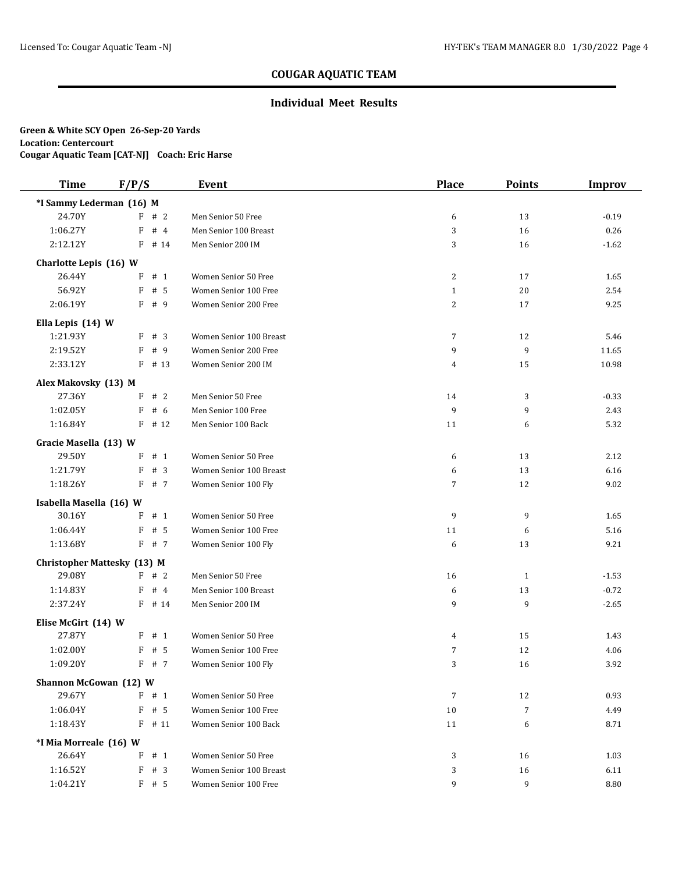### **Individual Meet Results**

| <b>Time</b>                        | F/P/S      | Event                   | <b>Place</b>   | <b>Points</b> | <b>Improv</b> |
|------------------------------------|------------|-------------------------|----------------|---------------|---------------|
| *I Sammy Lederman (16) M           |            |                         |                |               |               |
| 24.70Y                             | #2<br>F    | Men Senior 50 Free      | 6              | 13            | $-0.19$       |
| 1:06.27Y                           | F<br># $4$ | Men Senior 100 Breast   | 3              | 16            | 0.26          |
| 2:12.12Y                           | F<br># 14  | Men Senior 200 IM       | 3              | 16            | $-1.62$       |
| Charlotte Lepis (16) W             |            |                         |                |               |               |
| 26.44Y                             | # 1<br>F   | Women Senior 50 Free    | 2              | 17            | 1.65          |
| 56.92Y                             | F<br>#5    | Women Senior 100 Free   | $\mathbf{1}$   | 20            | 2.54          |
| 2:06.19Y                           | F<br># 9   | Women Senior 200 Free   | $\overline{c}$ | 17            | 9.25          |
| Ella Lepis (14) W                  |            |                         |                |               |               |
| 1:21.93Y                           | # 3<br>F   | Women Senior 100 Breast | $\overline{7}$ | 12            | 5.46          |
| 2:19.52Y                           | F<br>#9    | Women Senior 200 Free   | 9              | 9             | 11.65         |
| 2:33.12Y                           | $F$ # 13   | Women Senior 200 IM     | 4              | 15            | 10.98         |
| Alex Makovsky (13) M               |            |                         |                |               |               |
| 27.36Y                             | #2<br>F    | Men Senior 50 Free      | 14             | 3             | $-0.33$       |
| 1:02.05Y                           | F<br># 6   | Men Senior 100 Free     | 9              | 9             | 2.43          |
| 1:16.84Y                           | $F$ # 12   | Men Senior 100 Back     | 11             | 6             | 5.32          |
| Gracie Masella (13) W              |            |                         |                |               |               |
| 29.50Y                             | $F$ # 1    | Women Senior 50 Free    | 6              | 13            | 2.12          |
| 1:21.79Y                           | F<br>#3    | Women Senior 100 Breast | 6              | 13            | 6.16          |
| 1:18.26Y                           | F<br># 7   | Women Senior 100 Fly    | 7              | 12            | 9.02          |
| Isabella Masella (16) W            |            |                         |                |               |               |
| 30.16Y                             | F<br># 1   | Women Senior 50 Free    | 9              | 9             | 1.65          |
| 1:06.44Y                           | F<br># 5   | Women Senior 100 Free   | 11             | 6             | 5.16          |
| 1:13.68Y                           | F<br># 7   | Women Senior 100 Fly    | 6              | 13            | 9.21          |
| <b>Christopher Mattesky (13) M</b> |            |                         |                |               |               |
| 29.08Y                             | F # 2      | Men Senior 50 Free      | 16             | $\mathbf{1}$  | $-1.53$       |
| 1:14.83Y                           | F<br>#4    | Men Senior 100 Breast   | 6              | 13            | $-0.72$       |
| 2:37.24Y                           | $F$ # 14   | Men Senior 200 IM       | 9              | 9             | $-2.65$       |
| Elise McGirt (14) W                |            |                         |                |               |               |
| 27.87Y                             | $F$ # 1    | Women Senior 50 Free    | 4              | 15            | 1.43          |
| 1:02.00Y                           | F<br># 5   | Women Senior 100 Free   | 7              | 12            | 4.06          |
| 1:09.20Y                           | F # 7      | Women Senior 100 Fly    | 3              | 16            | 3.92          |
| Shannon McGowan (12) W             |            |                         |                |               |               |
| 29.67Y                             | $F$ # 1    | Women Senior 50 Free    | 7              | 12            | 0.93          |
| 1:06.04Y                           | $F$ # 5    | Women Senior 100 Free   | 10             | 7             | 4.49          |
| 1:18.43Y                           | $F$ # 11   | Women Senior 100 Back   | 11             | 6             | 8.71          |
| *I Mia Morreale (16) W             |            |                         |                |               |               |
| 26.64Y                             | #1<br>F    | Women Senior 50 Free    | 3              | 16            | 1.03          |
| 1:16.52Y                           | F<br>#3    | Women Senior 100 Breast | 3              | 16            | 6.11          |
| 1:04.21Y                           | $F$ # 5    | Women Senior 100 Free   | 9              | 9             | 8.80          |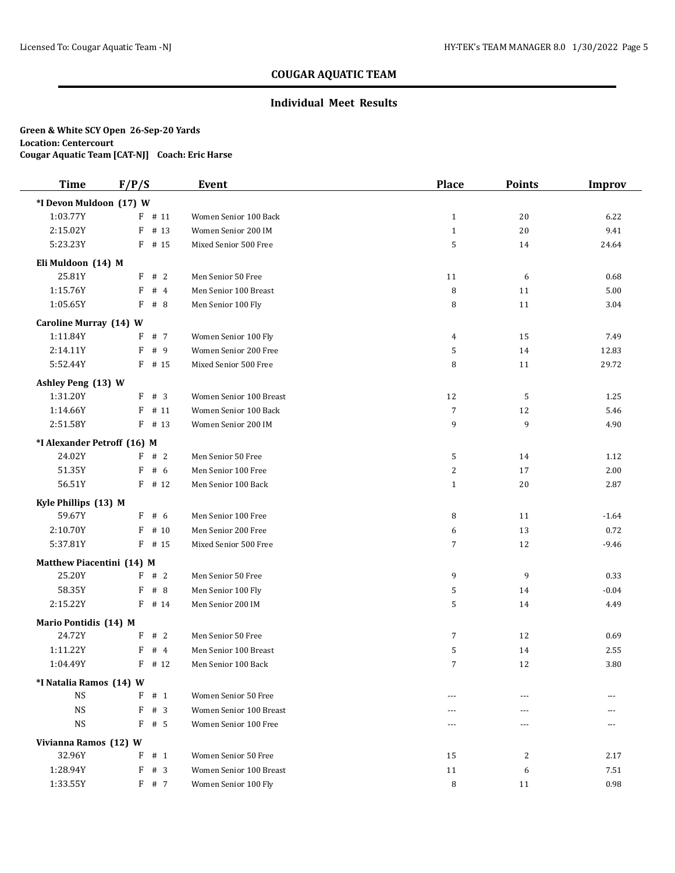### **Individual Meet Results**

| <b>Time</b>                 | F/P/S      | <b>Event</b>            | <b>Place</b>   | <b>Points</b> | <b>Improv</b> |
|-----------------------------|------------|-------------------------|----------------|---------------|---------------|
| *I Devon Muldoon (17) W     |            |                         |                |               |               |
| 1:03.77Y                    | $F$ # 11   | Women Senior 100 Back   | $\mathbf{1}$   | 20            | 6.22          |
| 2:15.02Y                    | F<br># 13  | Women Senior 200 IM     | $\mathbf{1}$   | 20            | 9.41          |
| 5:23.23Y                    | $F$ # 15   | Mixed Senior 500 Free   | 5              | 14            | 24.64         |
| Eli Muldoon (14) M          |            |                         |                |               |               |
| 25.81Y                      | F<br>#2    | Men Senior 50 Free      | 11             | 6             | 0.68          |
| 1:15.76Y                    | #4<br>F    | Men Senior 100 Breast   | 8              | 11            | 5.00          |
| 1:05.65Y                    | F<br>#8    | Men Senior 100 Fly      | 8              | 11            | 3.04          |
| Caroline Murray (14) W      |            |                         |                |               |               |
| 1:11.84Y                    | F<br># 7   | Women Senior 100 Fly    | 4              | 15            | 7.49          |
| 2:14.11Y                    | # 9<br>F   | Women Senior 200 Free   | 5              | 14            | 12.83         |
| 5:52.44Y                    | $F$ # 15   | Mixed Senior 500 Free   | 8              | 11            | 29.72         |
| Ashley Peng (13) W          |            |                         |                |               |               |
| 1:31.20Y                    | F<br>#3    | Women Senior 100 Breast | 12             | 5             | 1.25          |
| 1:14.66Y                    | # 11<br>F  | Women Senior 100 Back   | $\overline{7}$ | 12            | 5.46          |
| 2:51.58Y                    | $F$ # 13   | Women Senior 200 IM     | 9              | 9             | 4.90          |
| *I Alexander Petroff (16) M |            |                         |                |               |               |
| 24.02Y                      | F # 2      | Men Senior 50 Free      | 5              | 14            | 1.12          |
| 51.35Y                      | # 6<br>F   | Men Senior 100 Free     | 2              | 17            | 2.00          |
| 56.51Y                      | $F$ # 12   | Men Senior 100 Back     | $\mathbf{1}$   | 20            | 2.87          |
| Kyle Phillips (13) M        |            |                         |                |               |               |
| 59.67Y                      | F # 6      | Men Senior 100 Free     | 8              | 11            | $-1.64$       |
| 2:10.70Y                    | F<br># 10  | Men Senior 200 Free     | 6              | 13            | 0.72          |
| 5:37.81Y                    | $F$ # 15   | Mixed Senior 500 Free   | $\overline{7}$ | 12            | $-9.46$       |
| Matthew Piacentini (14) M   |            |                         |                |               |               |
| 25.20Y                      | F # 2      | Men Senior 50 Free      | 9              | 9             | 0.33          |
| 58.35Y                      | F<br># 8   | Men Senior 100 Fly      | 5              | 14            | $-0.04$       |
| 2:15.22Y                    | $F$ # 14   | Men Senior 200 IM       | 5              | 14            | 4.49          |
| Mario Pontidis (14) M       |            |                         |                |               |               |
| 24.72Y                      | F<br>#2    | Men Senior 50 Free      | 7              | 12            | 0.69          |
| 1:11.22Y                    | F<br>#4    | Men Senior 100 Breast   | 5              | 14            | 2.55          |
| 1:04.49Y                    | $F$ # 12   | Men Senior 100 Back     | $\overline{7}$ | 12            | 3.80          |
| *I Natalia Ramos (14) W     |            |                         |                |               |               |
| <b>NS</b>                   | F<br>#1    | Women Senior 50 Free    | $---$          |               |               |
| <b>NS</b>                   | F<br>$#$ 3 | Women Senior 100 Breast | ---            |               |               |
| $_{\rm NS}$                 | F<br># 5   | Women Senior 100 Free   | $---$          | $---$         | ---           |
| Vivianna Ramos (12) W       |            |                         |                |               |               |
| 32.96Y                      | # 1<br>F   | Women Senior 50 Free    | 15             | 2             | 2.17          |
| 1:28.94Y                    | F<br># 3   | Women Senior 100 Breast | 11             | 6             | 7.51          |
| 1:33.55Y                    | F # 7      | Women Senior 100 Fly    | 8              | 11            | 0.98          |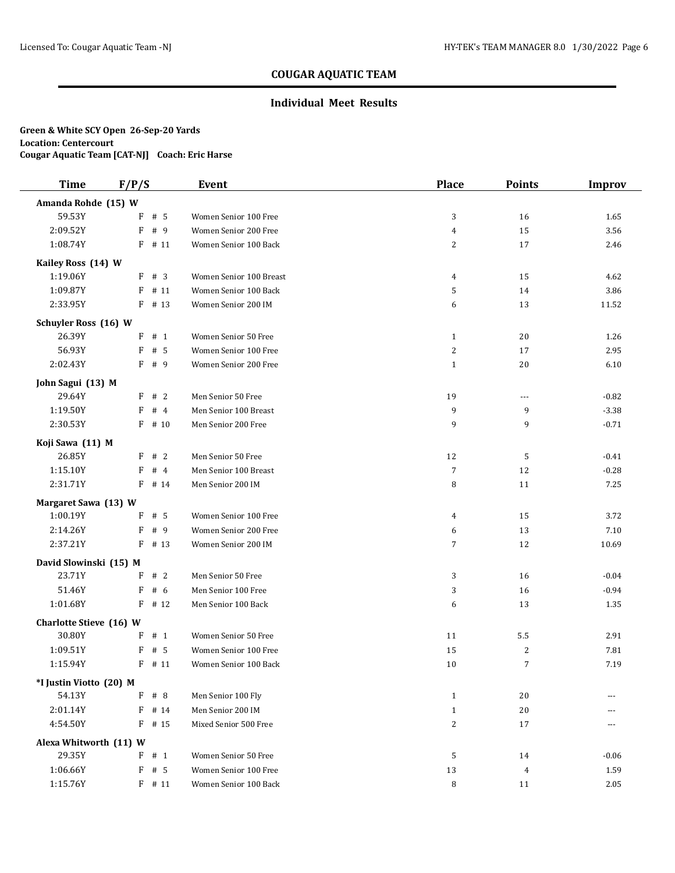### **Individual Meet Results**

| <b>Time</b>                       | F/P/S |                      | <b>Event</b>                            | <b>Place</b>                 | <b>Points</b>  | <b>Improv</b> |
|-----------------------------------|-------|----------------------|-----------------------------------------|------------------------------|----------------|---------------|
| Amanda Rohde (15) W               |       |                      |                                         |                              |                |               |
| 59.53Y                            | F     | #5                   | Women Senior 100 Free                   | 3                            | 16             | 1.65          |
| 2:09.52Y                          | F     | # 9                  | Women Senior 200 Free                   | $\overline{4}$               | 15             | 3.56          |
| 1:08.74Y                          |       | $F$ # 11             | Women Senior 100 Back                   | $\sqrt{2}$                   | 17             | 2.46          |
| Kailey Ross (14) W                |       |                      |                                         |                              |                |               |
| 1:19.06Y                          |       | F # 3                | Women Senior 100 Breast                 | 4                            | 15             | 4.62          |
| 1:09.87Y                          |       | $F$ # 11             | Women Senior 100 Back                   | 5                            | 14             | 3.86          |
| 2:33.95Y                          |       | $F$ # 13             | Women Senior 200 IM                     | 6                            | 13             | 11.52         |
| Schuyler Ross (16) W              |       |                      |                                         |                              |                |               |
| 26.39Y                            |       | $F$ # 1              | Women Senior 50 Free                    | $\mathbf{1}$                 | 20             | 1.26          |
| 56.93Y                            | F     | # 5                  | Women Senior 100 Free                   | $\sqrt{2}$                   | 17             | 2.95          |
| 2:02.43Y                          | F     | # 9                  | Women Senior 200 Free                   | $\mathbf{1}$                 | 20             | 6.10          |
| John Sagui (13) M                 |       |                      |                                         |                              |                |               |
| 29.64Y                            | F     | #2                   | Men Senior 50 Free                      | 19                           | $---$          | $-0.82$       |
| 1:19.50Y                          | F     | #4                   | Men Senior 100 Breast                   | 9                            | 9              | $-3.38$       |
| 2:30.53Y                          |       | $F$ # 10             | Men Senior 200 Free                     | 9                            | 9              | $-0.71$       |
| Koji Sawa (11) M                  |       |                      |                                         |                              |                |               |
| 26.85Y                            | F     | #2                   | Men Senior 50 Free                      | 12                           | 5              | $-0.41$       |
| 1:15.10Y                          | F     | #4                   | Men Senior 100 Breast                   | $\overline{7}$               | 12             | $-0.28$       |
| 2:31.71Y                          |       | $F$ # 14             | Men Senior 200 IM                       | 8                            | 11             | 7.25          |
| Margaret Sawa (13) W              |       |                      |                                         |                              |                |               |
| 1:00.19Y                          |       | $F$ # 5              | Women Senior 100 Free                   | 4                            | 15             | 3.72          |
| 2:14.26Y                          | F     | # 9                  | Women Senior 200 Free                   | 6                            | 13             | 7.10          |
| 2:37.21Y                          |       | $F$ # 13             | Women Senior 200 IM                     | $\sqrt{7}$                   | 12             | 10.69         |
| David Slowinski (15) M            |       |                      |                                         |                              |                |               |
| 23.71Y                            |       | F # 2                | Men Senior 50 Free                      | 3                            | 16             | $-0.04$       |
| 51.46Y                            | F     | # 6                  | Men Senior 100 Free                     | 3                            | 16             | $-0.94$       |
| 1:01.68Y                          | F     | # 12                 | Men Senior 100 Back                     | 6                            | 13             | 1.35          |
| Charlotte Stieve (16) W           |       |                      |                                         |                              |                |               |
| 30.80Y                            |       | $F$ # 1              | Women Senior 50 Free                    | 11                           | $5.5\,$        | 2.91          |
| 1:09.51Y                          | F     | #5                   | Women Senior 100 Free                   | 15                           | $\overline{c}$ | 7.81          |
| 1:15.94Y                          |       | $F$ # 11             | Women Senior 100 Back                   | 10                           | $\overline{7}$ | 7.19          |
|                                   |       |                      |                                         |                              |                |               |
| *I Justin Viotto (20) M<br>54.13Y |       |                      |                                         |                              |                |               |
|                                   |       | $F$ # 8              | Men Senior 100 Fly<br>Men Senior 200 IM | $\mathbf{1}$                 | 20             |               |
| 2:01.14Y<br>4:54.50Y              |       | $F$ # 14<br>$F$ # 15 | Mixed Senior 500 Free                   | $\mathbf{1}$<br>$\mathbf{2}$ | 20<br>17       | ---<br>---    |
|                                   |       |                      |                                         |                              |                |               |
| Alexa Whitworth (11) W            |       |                      |                                         |                              |                |               |
| 29.35Y                            |       | $F$ # 1              | Women Senior 50 Free                    | 5                            | 14             | $-0.06$       |
| 1:06.66Y                          | F     | #5                   | Women Senior 100 Free                   | 13                           | $\overline{4}$ | 1.59          |
| 1:15.76Y                          |       | $F$ # 11             | Women Senior 100 Back                   | 8                            | 11             | 2.05          |